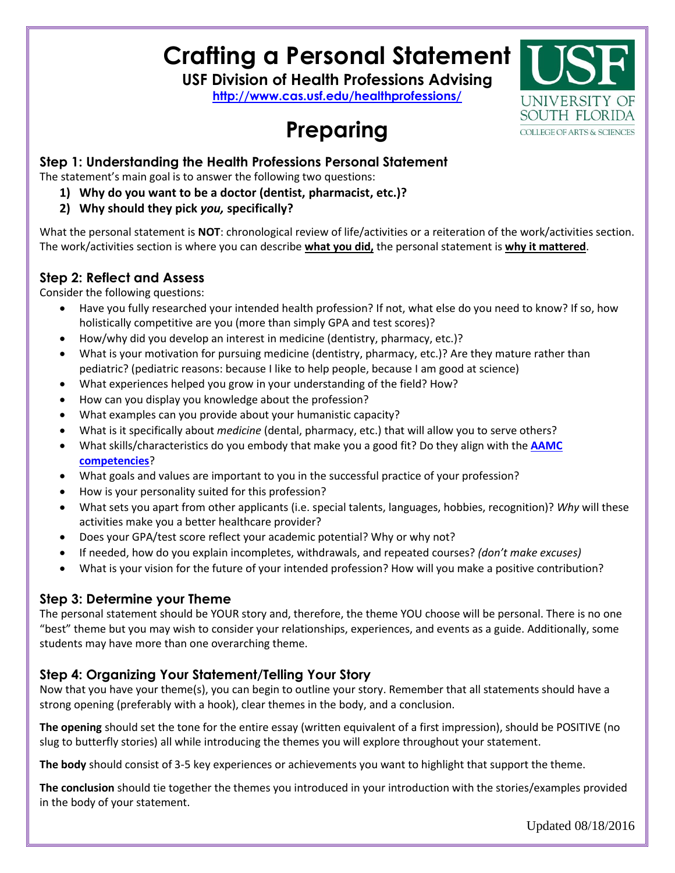# **Crafting a Personal Statement**

**USF Division of Health Professions Advising**

**<http://www.cas.usf.edu/healthprofessions/>**

# **Preparing**



## **Step 1: Understanding the Health Professions Personal Statement**

The statement's main goal is to answer the following two questions:

- **1) Why do you want to be a doctor (dentist, pharmacist, etc.)?**
- **2) Why should they pick** *you,* **specifically?**

What the personal statement is **NOT**: chronological review of life/activities or a reiteration of the work/activities section. The work/activities section is where you can describe **what you did,** the personal statement is **why it mattered**.

## **Step 2: Reflect and Assess**

Consider the following questions:

- Have you fully researched your intended health profession? If not, what else do you need to know? If so, how holistically competitive are you (more than simply GPA and test scores)?
- How/why did you develop an interest in medicine (dentistry, pharmacy, etc.)?
- What is your motivation for pursuing medicine (dentistry, pharmacy, etc.)? Are they mature rather than pediatric? (pediatric reasons: because I like to help people, because I am good at science)
- What experiences helped you grow in your understanding of the field? How?
- How can you display you knowledge about the profession?
- What examples can you provide about your humanistic capacity?
- What is it specifically about *medicine* (dental, pharmacy, etc.) that will allow you to serve others?
- What skills/characteristics do you embody that make you a good fit? Do they align with the **[AAMC](https://www.aamc.org/initiatives/admissionsinitiative/competencies/)  [competencies](https://www.aamc.org/initiatives/admissionsinitiative/competencies/)**?
- What goals and values are important to you in the successful practice of your profession?
- How is your personality suited for this profession?
- What sets you apart from other applicants (i.e. special talents, languages, hobbies, recognition)? *Why* will these activities make you a better healthcare provider?
- Does your GPA/test score reflect your academic potential? Why or why not?
- If needed, how do you explain incompletes, withdrawals, and repeated courses? *(don't make excuses)*
- What is your vision for the future of your intended profession? How will you make a positive contribution?

### **Step 3: Determine your Theme**

The personal statement should be YOUR story and, therefore, the theme YOU choose will be personal. There is no one "best" theme but you may wish to consider your relationships, experiences, and events as a guide. Additionally, some students may have more than one overarching theme.

## **Step 4: Organizing Your Statement/Telling Your Story**

Now that you have your theme(s), you can begin to outline your story. Remember that all statements should have a strong opening (preferably with a hook), clear themes in the body, and a conclusion.

**The opening** should set the tone for the entire essay (written equivalent of a first impression), should be POSITIVE (no slug to butterfly stories) all while introducing the themes you will explore throughout your statement.

**The body** should consist of 3-5 key experiences or achievements you want to highlight that support the theme.

**The conclusion** should tie together the themes you introduced in your introduction with the stories/examples provided in the body of your statement.